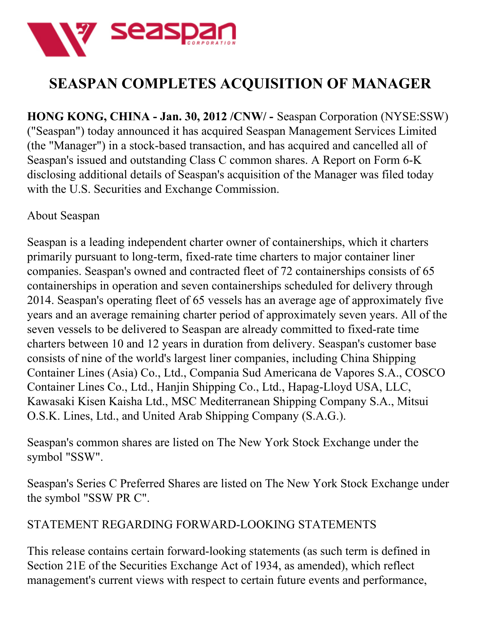

## **SEASPAN COMPLETES ACQUISITION OF MANAGER**

**HONG KONG, CHINA - Jan. 30, 2012 /CNW/ -** Seaspan Corporation (NYSE:SSW) ("Seaspan") today announced it has acquired Seaspan Management Services Limited (the "Manager") in a stock-based transaction, and has acquired and cancelled all of Seaspan's issued and outstanding Class C common shares. A Report on Form 6-K disclosing additional details of Seaspan's acquisition of the Manager was filed today with the U.S. Securities and Exchange Commission.

## About Seaspan

Seaspan is a leading independent charter owner of containerships, which it charters primarily pursuant to long-term, fixed-rate time charters to major container liner companies. Seaspan's owned and contracted fleet of 72 containerships consists of 65 containerships in operation and seven containerships scheduled for delivery through 2014. Seaspan's operating fleet of 65 vessels has an average age of approximately five years and an average remaining charter period of approximately seven years. All of the seven vessels to be delivered to Seaspan are already committed to fixed-rate time charters between 10 and 12 years in duration from delivery. Seaspan's customer base consists of nine of the world's largest liner companies, including China Shipping Container Lines (Asia) Co., Ltd., Compania Sud Americana de Vapores S.A., COSCO Container Lines Co., Ltd., Hanjin Shipping Co., Ltd., Hapag-Lloyd USA, LLC, Kawasaki Kisen Kaisha Ltd., MSC Mediterranean Shipping Company S.A., Mitsui O.S.K. Lines, Ltd., and United Arab Shipping Company (S.A.G.).

Seaspan's common shares are listed on The New York Stock Exchange under the symbol "SSW".

Seaspan's Series C Preferred Shares are listed on The New York Stock Exchange under the symbol "SSW PR C".

## STATEMENT REGARDING FORWARD-LOOKING STATEMENTS

This release contains certain forward-looking statements (as such term is defined in Section 21E of the Securities Exchange Act of 1934, as amended), which reflect management's current views with respect to certain future events and performance,